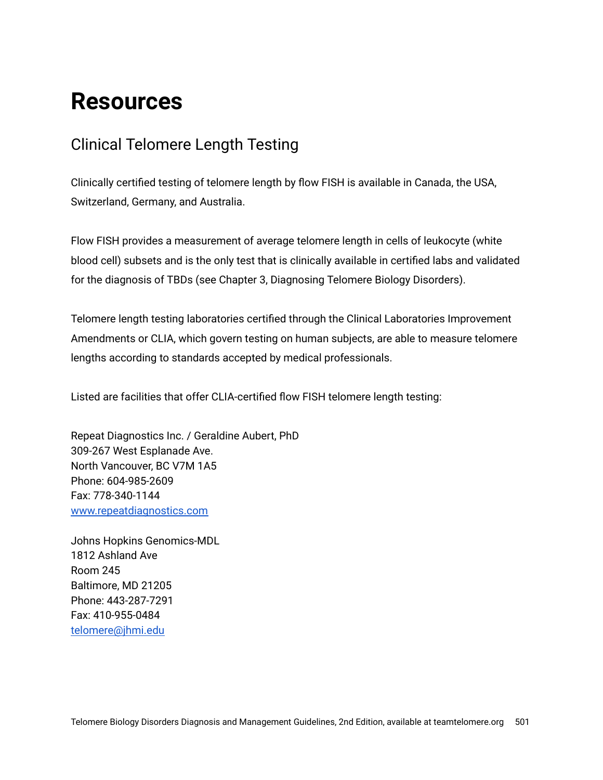## **Resources**

## Clinical Telomere Length Testing

Clinically certified testing of telomere length by flow FISH is available in Canada, the USA, Switzerland, Germany, and Australia.

Flow FISH provides a measurement of average telomere length in cells of leukocyte (white blood cell) subsets and is the only test that is clinically available in certified labs and validated for the diagnosis of TBDs (see Chapter 3, Diagnosing Telomere Biology Disorders).

Telomere length testing laboratories certified through the Clinical Laboratories Improvement Amendments or CLIA, which govern testing on human subjects, are able to measure telomere lengths according to standards accepted by medical professionals.

Listed are facilities that offer CLIA-certified flow FISH telomere length testing:

Repeat Diagnostics Inc. / Geraldine Aubert, PhD 309-267 West Esplanade Ave. North Vancouver, BC V7M 1A5 Phone: 604-985-2609 Fax: 778-340-1144 [www.repeatdiagnostics.com](http://www.repeatdiagnostics.com/)

Johns Hopkins Genomics-MDL 1812 Ashland Ave Room 245 Baltimore, MD 21205 Phone: 443-287-7291 Fax: 410-955-0484 [telomere@jhmi.edu](mailto:telomere@jhmi.edu)